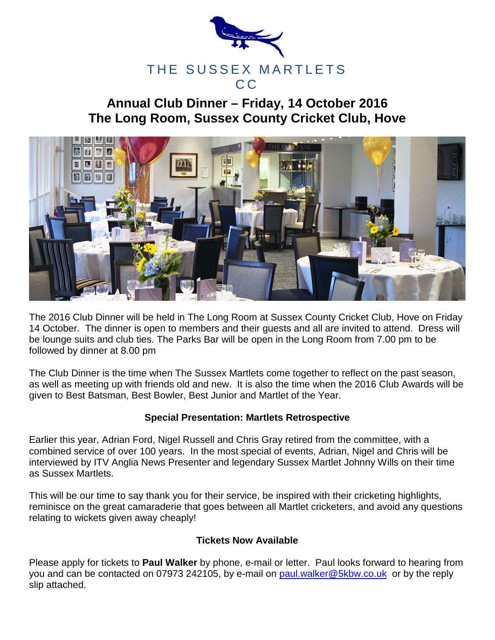

## **Annual Club Dinner – Friday, 14 October 2016 The Long Room, Sussex County Cricket Club, Hove**



The 2016 Club Dinner will be held in The Long Room at Sussex County Cricket Club, Hove on Friday 14 October. The dinner is open to members and their guests and all are invited to attend. Dress will be lounge suits and club ties. The Parks Bar will be open in the Long Room from 7.00 pm to be followed by dinner at 8.00 pm

The Club Dinner is the time when The Sussex Martlets come together to reflect on the past season, as well as meeting up with friends old and new. It is also the time when the 2016 Club Awards will be given to Best Batsman, Best Bowler, Best Junior and Martlet of the Year.

## **Special Presentation: Martlets Retrospective**

Earlier this year, Adrian Ford, Nigel Russell and Chris Gray retired from the committee, with a combined service of over 100 years. In the most special of events, Adrian, Nigel and Chris will be interviewed by ITV Anglia News Presenter and legendary Sussex Martlet Johnny Wills on their time as Sussex Martlets.

This will be our time to say thank you for their service, be inspired with their cricketing highlights, reminisce on the great camaraderie that goes between all Martlet cricketers, and avoid any questions relating to wickets given away cheaply!

## **Tickets Now Available**

Please apply for tickets to **Paul Walker** by phone, e-mail or letter. Paul looks forward to hearing from you and can be contacted on 07973 242105, by e-mail on [paul.walker@5kbw.co.uk](mailto:paul.walker@5kbw.co.uk) or by the reply slip attached.